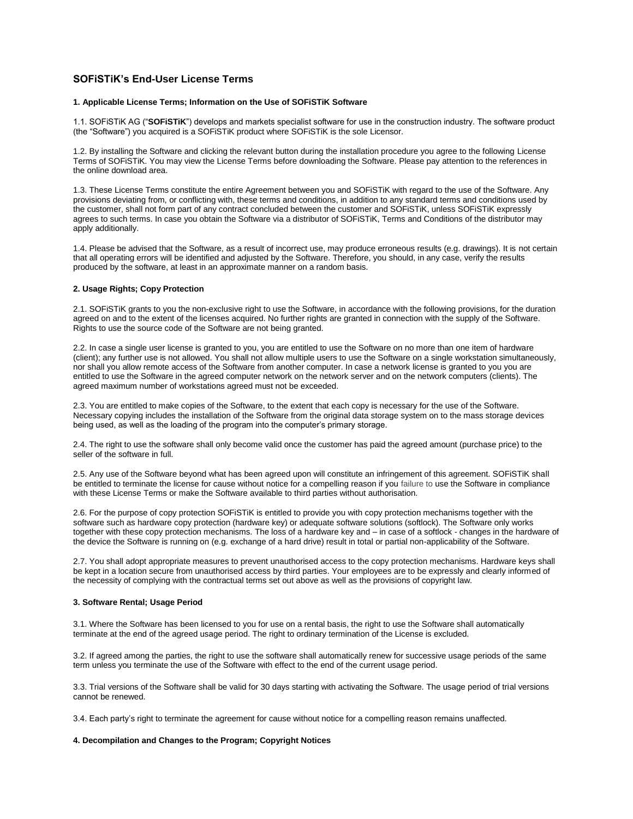# **SOFiSTiK's End-User License Terms**

### **1. Applicable License Terms; Information on the Use of SOFiSTiK Software**

1.1. SOFiSTiK AG ("**SOFiSTiK**") develops and markets specialist software for use in the construction industry. The software product (the "Software") you acquired is a SOFiSTiK product where SOFiSTiK is the sole Licensor.

1.2. By installing the Software and clicking the relevant button during the installation procedure you agree to the following License Terms of SOFiSTiK. You may view the License Terms before downloading the Software. Please pay attention to the references in the online download area.

1.3. These License Terms constitute the entire Agreement between you and SOFiSTiK with regard to the use of the Software. Any provisions deviating from, or conflicting with, these terms and conditions, in addition to any standard terms and conditions used by the customer, shall not form part of any contract concluded between the customer and SOFiSTiK, unless SOFiSTiK expressly agrees to such terms. In case you obtain the Software via a distributor of SOFiSTiK, Terms and Conditions of the distributor may apply additionally.

1.4. Please be advised that the Software, as a result of incorrect use, may produce erroneous results (e.g. drawings). It is not certain that all operating errors will be identified and adjusted by the Software. Therefore, you should, in any case, verify the results produced by the software, at least in an approximate manner on a random basis.

### **2. Usage Rights; Copy Protection**

2.1. SOFiSTiK grants to you the non-exclusive right to use the Software, in accordance with the following provisions, for the duration agreed on and to the extent of the licenses acquired. No further rights are granted in connection with the supply of the Software. Rights to use the source code of the Software are not being granted.

2.2. In case a single user license is granted to you, you are entitled to use the Software on no more than one item of hardware (client); any further use is not allowed. You shall not allow multiple users to use the Software on a single workstation simultaneously, nor shall you allow remote access of the Software from another computer. In case a network license is granted to you you are entitled to use the Software in the agreed computer network on the network server and on the network computers (clients). The agreed maximum number of workstations agreed must not be exceeded.

2.3. You are entitled to make copies of the Software, to the extent that each copy is necessary for the use of the Software. Necessary copying includes the installation of the Software from the original data storage system on to the mass storage devices being used, as well as the loading of the program into the computer's primary storage.

2.4. The right to use the software shall only become valid once the customer has paid the agreed amount (purchase price) to the seller of the software in full.

2.5. Any use of the Software beyond what has been agreed upon will constitute an infringement of this agreement. SOFiSTiK shall be entitled to terminate the license for cause without notice for a compelling reason if you failure to use the Software in compliance with these License Terms or make the Software available to third parties without authorisation.

2.6. For the purpose of copy protection SOFiSTiK is entitled to provide you with copy protection mechanisms together with the software such as hardware copy protection (hardware key) or adequate software solutions (softlock). The Software only works together with these copy protection mechanisms. The loss of a hardware key and – in case of a softlock - changes in the hardware of the device the Software is running on (e.g. exchange of a hard drive) result in total or partial non-applicability of the Software.

2.7. You shall adopt appropriate measures to prevent unauthorised access to the copy protection mechanisms. Hardware keys shall be kept in a location secure from unauthorised access by third parties. Your employees are to be expressly and clearly informed of the necessity of complying with the contractual terms set out above as well as the provisions of copyright law.

### **3. Software Rental; Usage Period**

3.1. Where the Software has been licensed to you for use on a rental basis, the right to use the Software shall automatically terminate at the end of the agreed usage period. The right to ordinary termination of the License is excluded.

3.2. If agreed among the parties, the right to use the software shall automatically renew for successive usage periods of the same term unless you terminate the use of the Software with effect to the end of the current usage period.

3.3. Trial versions of the Software shall be valid for 30 days starting with activating the Software. The usage period of trial versions cannot be renewed.

3.4. Each party's right to terminate the agreement for cause without notice for a compelling reason remains unaffected.

## **4. Decompilation and Changes to the Program; Copyright Notices**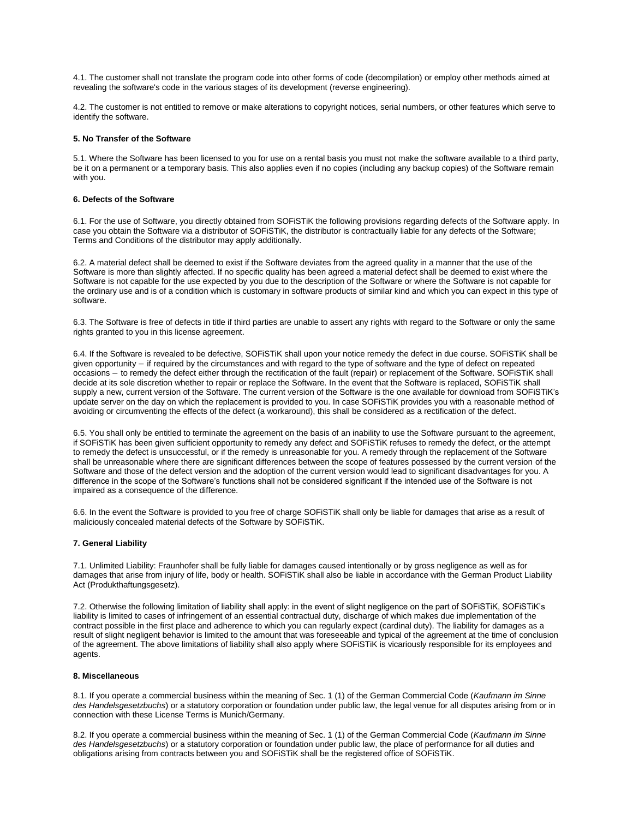4.1. The customer shall not translate the program code into other forms of code (decompilation) or employ other methods aimed at revealing the software's code in the various stages of its development (reverse engineering).

4.2. The customer is not entitled to remove or make alterations to copyright notices, serial numbers, or other features which serve to identify the software.

#### **5. No Transfer of the Software**

5.1. Where the Software has been licensed to you for use on a rental basis you must not make the software available to a third party, be it on a permanent or a temporary basis. This also applies even if no copies (including any backup copies) of the Software remain with you.

### **6. Defects of the Software**

6.1. For the use of Software, you directly obtained from SOFiSTiK the following provisions regarding defects of the Software apply. In case you obtain the Software via a distributor of SOFiSTiK, the distributor is contractually liable for any defects of the Software; Terms and Conditions of the distributor may apply additionally.

6.2. A material defect shall be deemed to exist if the Software deviates from the agreed quality in a manner that the use of the Software is more than slightly affected. If no specific quality has been agreed a material defect shall be deemed to exist where the Software is not capable for the use expected by you due to the description of the Software or where the Software is not capable for the ordinary use and is of a condition which is customary in software products of similar kind and which you can expect in this type of software.

6.3. The Software is free of defects in title if third parties are unable to assert any rights with regard to the Software or only the same rights granted to you in this license agreement.

6.4. If the Software is revealed to be defective, SOFiSTiK shall upon your notice remedy the defect in due course. SOFiSTiK shall be given opportunity – if required by the circumstances and with regard to the type of software and the type of defect on repeated occasions − to remedy the defect either through the rectification of the fault (repair) or replacement of the Software. SOFiSTiK shall decide at its sole discretion whether to repair or replace the Software. In the event that the Software is replaced, SOFiSTiK shall supply a new, current version of the Software. The current version of the Software is the one available for download from SOFiSTiK's update server on the day on which the replacement is provided to you. In case SOFiSTiK provides you with a reasonable method of avoiding or circumventing the effects of the defect (a workaround), this shall be considered as a rectification of the defect.

6.5. You shall only be entitled to terminate the agreement on the basis of an inability to use the Software pursuant to the agreement, if SOFiSTiK has been given sufficient opportunity to remedy any defect and SOFiSTiK refuses to remedy the defect, or the attempt to remedy the defect is unsuccessful, or if the remedy is unreasonable for you. A remedy through the replacement of the Software shall be unreasonable where there are significant differences between the scope of features possessed by the current version of the Software and those of the defect version and the adoption of the current version would lead to significant disadvantages for you. A difference in the scope of the Software's functions shall not be considered significant if the intended use of the Software is not impaired as a consequence of the difference.

6.6. In the event the Software is provided to you free of charge SOFiSTiK shall only be liable for damages that arise as a result of maliciously concealed material defects of the Software by SOFiSTiK.

### **7. General Liability**

7.1. Unlimited Liability: Fraunhofer shall be fully liable for damages caused intentionally or by gross negligence as well as for damages that arise from injury of life, body or health. SOFiSTiK shall also be liable in accordance with the German Product Liability Act (Produkthaftungsgesetz).

7.2. Otherwise the following limitation of liability shall apply: in the event of slight negligence on the part of SOFiSTiK, SOFiSTiK's liability is limited to cases of infringement of an essential contractual duty, discharge of which makes due implementation of the contract possible in the first place and adherence to which you can regularly expect (cardinal duty). The liability for damages as a result of slight negligent behavior is limited to the amount that was foreseeable and typical of the agreement at the time of conclusion of the agreement. The above limitations of liability shall also apply where SOFiSTiK is vicariously responsible for its employees and agents.

### **8. Miscellaneous**

8.1. If you operate a commercial business within the meaning of Sec. 1 (1) of the German Commercial Code (*Kaufmann im Sinne des Handelsgesetzbuchs*) or a statutory corporation or foundation under public law, the legal venue for all disputes arising from or in connection with these License Terms is Munich/Germany.

8.2. If you operate a commercial business within the meaning of Sec. 1 (1) of the German Commercial Code (*Kaufmann im Sinne des Handelsgesetzbuchs*) or a statutory corporation or foundation under public law, the place of performance for all duties and obligations arising from contracts between you and SOFiSTiK shall be the registered office of SOFiSTiK.